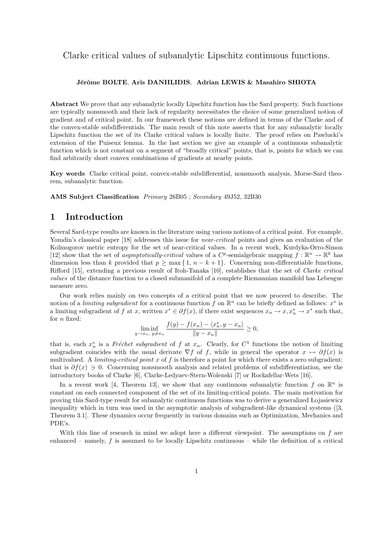## Clarke critical values of subanalytic Lipschitz continuous functions.

#### Jérôme BOLTE, Aris DANIILIDIS, Adrian LEWIS & Masahiro SHIOTA

Abstract We prove that any subanalytic locally Lipschitz function has the Sard property. Such functions are typically nonsmooth and their lack of regularity necessitates the choice of some generalized notion of gradient and of critical point. In our framework these notions are defined in terms of the Clarke and of the convex-stable subdifferentials. The main result of this note asserts that for any subanalytic locally Lipschitz function the set of its Clarke critical values is locally finite. The proof relies on Pawlucki's extension of the Puiseux lemma. In the last section we give an example of a continuous subanalytic function which is not constant on a segment of "broadly critical" points, that is, points for which we can find arbitrarily short convex combinations of gradients at nearby points.

Key words Clarke critical point, convex-stable subdifferential, nonsmooth analysis, Morse-Sard theorem, subanalytic function.

AMS Subject Classification Primary 26B05 ; Secondary 49J52, 32B30

### 1 Introduction

Several Sard-type results are known in the literature using various notions of a critical point. For example, Yomdin's classical paper [18] addresses this issue for *near-critical* points and gives an evaluation of the Kolmogorov metric entropy for the set of near-critical values. In a recent work, Kurdyka-Orro-Simon [12] show that the set of asymptotically-critical values of a  $C^p$ -semialgebraic mapping  $f : \mathbb{R}^n \to \mathbb{R}^k$  has dimension less than k provided that  $p \ge \max\{1, n - k + 1\}$ . Concerning non-differentiable functions, Rifford [15], extending a previous result of Itoh-Tanaka [10], establishes that the set of Clarke critical values of the distance function to a closed submanifold of a complete Riemannian manifold has Lebesgue measure zero.

Our work relies mainly on two concepts of a critical point that we now proceed to describe. The notion of a *limiting subgradient* for a continuous function f on  $\mathbb{R}^n$  can be briefly defined as follows:  $x^*$  is a limiting subgradient of f at x, written  $x^* \in \partial f(x)$ , if there exist sequences  $x_n \to x, x_n^* \to x^*$  such that, for n fixed:

$$
\liminf_{y \to x_n, y \neq x_n} \frac{f(y) - f(x_n) - \langle x_n^*, y - x_n \rangle}{\|y - x_n\|} \ge 0,
$$

that is, each  $x_n^*$  is a Fréchet subgradient of f at  $x_n$ . Clearly, for  $C^1$  functions the notion of limiting subgradient coincides with the usual derivate  $\nabla f$  of f, while in general the operator  $x \mapsto \partial f(x)$  is multivalued. A *limiting-critical point* x of f is therefore a point for which there exists a zero subgradient: that is  $\partial f(x) \ni 0$ . Concerning nonsmooth analysis and related problems of subdifferentiation, see the introductory books of Clarke [6], Clarke-Ledyaev-Stern-Wolenski [7] or Rockafellar-Wets [16].

In a recent work [4, Theorem 13], we show that any continuous subanalytic function f on  $\mathbb{R}^n$  is constant on each connected component of the set of its limiting-critical points. The main motivation for proving this Sard-type result for subanalytic continuous functions was to derive a generalized Lojasiewicz inequality which in turn was used in the asymptotic analysis of subgradient-like dynamical systems ([3, Theorem 3.1]. These dynamics occur frequently in various domains such as Optimization, Mechanics and PDE's.

With this line of research in mind we adopt here a different viewpoint. The assumptions on  $f$  are enhanced – namely,  $f$  is assumed to be locally Lipschitz continuous – while the definition of a critical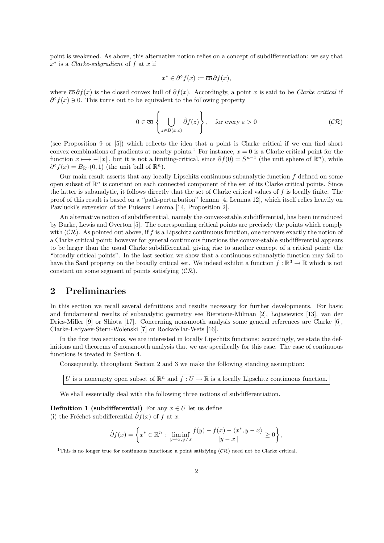point is weakened. As above, this alternative notion relies on a concept of subdifferentiation: we say that  $x^*$  is a *Clarke-subgradient* of f at x if

$$
x^* \in \partial^{\circ} f(x) := \overline{\mathrm{co}} \, \partial f(x),
$$

where  $\overline{co} \partial f(x)$  is the closed convex hull of  $\partial f(x)$ . Accordingly, a point x is said to be *Clarke critical* if  $\partial^{\circ} f(x) \ni 0$ . This turns out to be equivalent to the following property

$$
0 \in \overline{\text{co}}\left\{\bigcup_{z \in B(x,\varepsilon)} \hat{\partial}f(z)\right\}, \quad \text{for every } \varepsilon > 0 \tag{CR}
$$

(see Proposition 9 or [5]) which reflects the idea that a point is Clarke critical if we can find short convex combinations of gradients at nearby points.<sup>1</sup> For instance,  $x = 0$  is a Clarke critical point for the function  $x \mapsto -||x||$ , but it is not a limiting-critical, since  $\partial f(0) = S^{n-1}$  (the unit sphere of  $\mathbb{R}^n$ ), while  $\partial^{\circ} f(x) = B_{\mathbb{R}^n}(0,1)$  (the unit ball of  $\mathbb{R}^n$ ).

Our main result asserts that any locally Lipschitz continuous subanalytic function  $f$  defined on some open subset of  $\mathbb{R}^n$  is constant on each connected component of the set of its Clarke critical points. Since the latter is subanalytic, it follows directly that the set of Clarke critical values of f is locally finite. The proof of this result is based on a "path-perturbation" lemma [4, Lemma 12], which itself relies heavily on Pawlucki's extension of the Puiseux Lemma [14, Proposition 2].

An alternative notion of subdifferential, namely the convex-stable subdifferential, has been introduced by Burke, Lewis and Overton [5]. The corresponding critical points are precisely the points which comply with  $(CR)$ . As pointed out above, if f is a Lipschitz continuous function, one recovers exactly the notion of a Clarke critical point; however for general continuous functions the convex-stable subdifferential appears to be larger than the usual Clarke subdifferential, giving rise to another concept of a critical point: the "broadly critical points". In the last section we show that a continuous subanalytic function may fail to have the Sard property on the broadly critical set. We indeed exhibit a function  $f : \mathbb{R}^3 \to \mathbb{R}$  which is not constant on some segment of points satisfying  $(\mathcal{CR})$ .

## 2 Preliminaries

In this section we recall several definitions and results necessary for further developments. For basic and fundamental results of subanalytic geometry see Bierstone-Milman [2], Lojasiewicz [13], van der Dries-Miller [9] or Shiota [17]. Concerning nonsmooth analysis some general references are Clarke [6], Clarke-Ledyaev-Stern-Wolenski [7] or Rockafellar-Wets [16].

In the first two sections, we are interested in locally Lipschitz functions: accordingly, we state the definitions and theorems of nonsmooth analysis that we use specifically for this case. The case of continuous functions is treated in Section 4.

Consequently, throughout Section 2 and 3 we make the following standing assumption:

U is a nonempty open subset of  $\mathbb{R}^n$  and  $f: U \to \mathbb{R}$  is a locally Lipschitz continuous function.

We shall essentially deal with the following three notions of subdifferentiation.

**Definition 1 (subdifferential)** For any  $x \in U$  let us define (i) the Fréchet subdifferential  $\hat{\partial}f(x)$  of f at x:

$$
\hat{\partial}f(x) = \left\{ x^* \in \mathbb{R}^n : \liminf_{y \to x, y \neq x} \frac{f(y) - f(x) - \langle x^*, y - x \rangle}{\|y - x\|} \ge 0 \right\},\
$$

<sup>&</sup>lt;sup>1</sup>This is no longer true for continuous functions: a point satisfying  $(CR)$  need not be Clarke critical.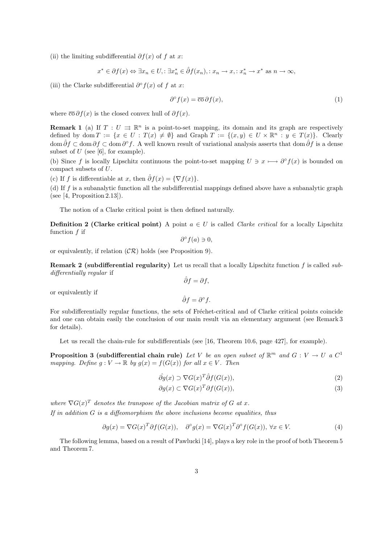(ii) the limiting subdifferential  $\partial f(x)$  of f at x:

$$
x^* \in \partial f(x) \Leftrightarrow \exists x_n \in U, : \exists x_n^* \in \hat{\partial} f(x_n), : x_n \to x, : x_n^* \to x^* \text{ as } n \to \infty,
$$

(iii) the Clarke subdifferential  $\partial^{\circ} f(x)$  of f at x:

$$
\partial^{\circ} f(x) = \overline{\mathrm{co}} \, \partial f(x),\tag{1}
$$

where  $\overline{\text{co}} \partial f(x)$  is the closed convex hull of  $\partial f(x)$ .

**Remark 1** (a) If  $T: U \rightrightarrows \mathbb{R}^n$  is a point-to-set mapping, its domain and its graph are respectively defined by dom  $T := \{x \in U : T(x) \neq \emptyset\}$  and Graph  $T := \{(x, y) \in U \times \mathbb{R}^n : y \in T(x)\}$ . Clearly dom  $\hat{\partial}f \subset \text{dom }\partial f \subset \text{dom }\partial^{\circ}f$ . A well known result of variational analysis asserts that dom  $\hat{\partial}f$  is a dense subset of  $U$  (see [6], for example).

(b) Since f is locally Lipschitz continuous the point-to-set mapping  $U \ni x \longmapsto \partial^{\circ} f(x)$  is bounded on compact subsets of U.

(c) If f is differentiable at x, then  $\hat{\partial}f(x) = {\nabla f(x)}$ .

(d) If  $f$  is a subanalytic function all the subdifferential mappings defined above have a subanalytic graph (see [4, Proposition 2.13]).

The notion of a Clarke critical point is then defined naturally.

**Definition 2 (Clarke critical point)** A point  $a \in U$  is called *Clarke critical* for a locally Lipschitz function f if

$$
\partial^{\circ} f(a) \ni 0,
$$

or equivalently, if relation  $(\mathcal{CR})$  holds (see Proposition 9).

**Remark 2 (subdifferential regularity)** Let us recall that a locally Lipschitz function  $f$  is called subdifferentially regular if  $\hat{\partial}f=\partial f,$ 

or equivalently if

 $\hat{\partial}f=\partial^{\circ}f.$ 

For subdifferentially regular functions, the sets of Fréchet-critical and of Clarke critical points coincide and one can obtain easily the conclusion of our main result via an elementary argument (see Remark 3 for details).

Let us recall the chain-rule for subdifferentials (see [16, Theorem 10.6, page 427], for example).

**Proposition 3 (subdifferential chain rule)** Let V be an open subset of  $\mathbb{R}^m$  and  $G: V \to U$  a  $C^1$ mapping. Define  $g: V \to \mathbb{R}$  by  $g(x) = f(G(x))$  for all  $x \in V$ . Then

$$
\hat{\partial g}(x) \supset \nabla G(x)^T \hat{\partial} f(G(x)),\tag{2}
$$

$$
\partial g(x) \subset \nabla G(x)^T \partial f(G(x)),\tag{3}
$$

where  $\nabla G(x)^T$  denotes the transpose of the Jacobian matrix of G at x. If in addition  $G$  is a diffeomorphism the above inclusions become equalities, thus

$$
\partial g(x) = \nabla G(x)^T \partial f(G(x)), \quad \partial^{\circ} g(x) = \nabla G(x)^T \partial^{\circ} f(G(x)), \forall x \in V. \tag{4}
$$

The following lemma, based on a result of Pawlucki [14], plays a key role in the proof of both Theorem 5 and Theorem 7.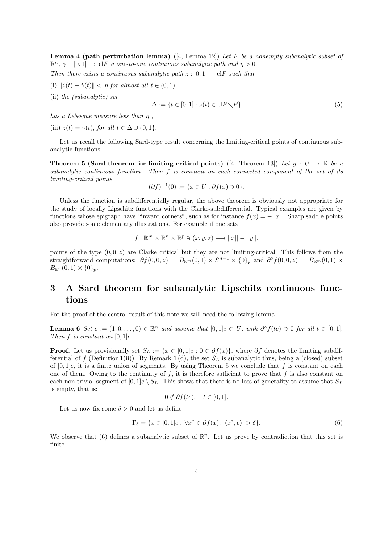**Lemma 4 (path perturbation lemma)** ([4, Lemma 12]) Let F be a nonempty subanalytic subset of  $\mathbb{R}^n$ ,  $\gamma : [0,1] \to \text{cl}F$  a one-to-one continuous subanalytic path and  $\eta > 0$ .

Then there exists a continuous subanalytic path  $z : [0, 1] \rightarrow \text{cl}F$  such that

- (i)  $\|\dot{z}(t) \dot{\gamma}(t)\| < \eta$  for almost all  $t \in (0, 1)$ ,
- (ii) the (subanalytic) set

$$
\Delta := \{ t \in [0, 1] : z(t) \in \text{cl}F \setminus F \} \tag{5}
$$

has a Lebesque measure less than  $\eta$ ,

(iii)  $z(t) = \gamma(t)$ , for all  $t \in \Delta \cup \{0, 1\}$ .

Let us recall the following Sard-type result concerning the limiting-critical points of continuous subanalytic functions.

Theorem 5 (Sard theorem for limiting-critical points) ([4, Theorem 13]) Let  $g: U \to \mathbb{R}$  be a subanalytic continuous function. Then f is constant on each connected component of the set of its limiting-critical points

$$
(\partial f)^{-1}(0) := \{ x \in U : \partial f(x) \ni 0 \}.
$$

Unless the function is subdifferentially regular, the above theorem is obviously not appropriate for the study of locally Lipschitz functions with the Clarke-subdifferential. Typical examples are given by functions whose epigraph have "inward corners", such as for instance  $f(x) = -||x||$ . Sharp saddle points also provide some elementary illustrations. For example if one sets

$$
f: \mathbb{R}^m \times \mathbb{R}^n \times \mathbb{R}^p \ni (x, y, z) \longmapsto ||x|| - ||y||,
$$

points of the type  $(0, 0, z)$  are Clarke critical but they are not limiting-critical. This follows from the straightforward computations:  $\partial f(0,0,z) = B_{\mathbb{R}^m}(0,1) \times S^{n-1} \times \{0\}_p$  and  $\partial^{\circ} f(0,0,z) = B_{\mathbb{R}^m}(0,1) \times$  $B_{\mathbb{R}^n}(0,1) \times \{0\}_p$ .

## 3 A Sard theorem for subanalytic Lipschitz continuous functions

For the proof of the central result of this note we will need the following lemma.

**Lemma 6** Set  $e := (1, 0, \ldots, 0) \in \mathbb{R}^n$  and assume that  $[0, 1]e \subset U$ , with  $\partial^{\circ} f(te) \ni 0$  for all  $t \in [0, 1]$ . Then  $f$  is constant on  $[0, 1]e$ .

**Proof.** Let us provisionally set  $S_L := \{x \in [0, 1]e : 0 \in \partial f(x)\}\,$ , where  $\partial f$  denotes the limiting subdifferential of f (Definition 1(ii)). By Remark 1(d), the set  $S_L$  is subanalytic thus, being a (closed) subset of  $[0, 1]e$ , it is a finite union of segments. By using Theorem 5 we conclude that f is constant on each one of them. Owing to the continuity of  $f$ , it is therefore sufficient to prove that  $f$  is also constant on each non-trivial segment of  $[0,1]e \setminus S_L$ . This shows that there is no loss of generality to assume that  $S_L$ is empty, that is:

$$
0 \notin \partial f(te), \quad t \in [0,1].
$$

Let us now fix some  $\delta > 0$  and let us define

$$
\Gamma_{\delta} = \{ x \in [0, 1]e : \forall x^* \in \partial f(x), \, |\langle x^*, e \rangle| > \delta \}. \tag{6}
$$

We observe that (6) defines a subanalytic subset of  $\mathbb{R}^n$ . Let us prove by contradiction that this set is finite.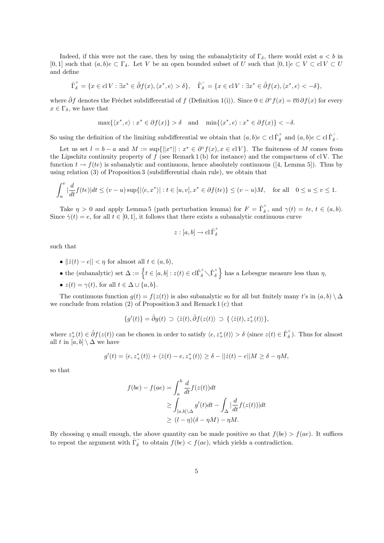Indeed, if this were not the case, then by using the subanalyticity of  $\Gamma_{\delta}$ , there would exist  $a < b$  in [0, 1] such that  $(a, b)e \subset \Gamma_{\delta}$ . Let V be an open bounded subset of U such that  $[0, 1]e \subset V \subset \text{cl} V \subset U$ and define

$$
\hat{\Gamma}_{\delta}^{+} = \{ x \in \mathbf{cl}\, V : \exists x^* \in \hat{\partial} f(x), \langle x^*, e \rangle > \delta \}, \quad \hat{\Gamma}_{\delta}^{-} = \{ x \in \mathbf{cl}\, V : \exists x^* \in \hat{\partial} f(x), \langle x^*, e \rangle < -\delta \},
$$

where  $\hat{\partial}f$  denotes the Fréchet subdifferential of f (Definition 1(i)). Since  $0 \in \partial^{\circ} f(x) = \overline{\mathrm{co}} \partial f(x)$  for every  $x \in \Gamma_{\delta}$ , we have that

$$
\max\{\langle x^*, e \rangle : x^* \in \partial f(x)\} > \delta \quad \text{and} \quad \min\{\langle x^*, e \rangle : x^* \in \partial f(x)\} < -\delta.
$$

So using the definition of the limiting subdifferential we obtain that  $(a, b)e \subset \text{cl}\,\hat{\Gamma}^+_{\delta}$  and  $(a, b)e \subset \text{cl}\,\hat{\Gamma}^-_{\delta}$ .

Let us set  $l = b - a$  and  $M := \sup\{|x^*|| : x^* \in \partial^{\circ} f(x), x \in \mathrm{cl} V\}$ . The finiteness of M comes from the Lipschitz continuity property of  $f$  (see Remark 1 (b) for instance) and the compactness of cl V. The function  $t \to f(te)$  is subanalytic and continuous, hence absolutely continuous ([4, Lemma 5]). Thus by using relation (3) of Proposition 3 (subdifferential chain rule), we obtain that

$$
\int_u^v \left| \frac{d}{dt} f(te) \right| dt \le (v - u) \sup \{ |\langle e, x^* \rangle| : t \in [u, v], x^* \in \partial f(te) \} \le (v - u)M, \quad \text{for all} \quad 0 \le u \le v \le 1.
$$

Take  $\eta > 0$  and apply Lemma 5 (path perturbation lemma) for  $F = \hat{\Gamma}_{\delta}^{+}$ , and  $\gamma(t) = te, t \in (a, b)$ . Since  $\dot{\gamma}(t) = e$ , for all  $t \in [0, 1]$ , it follows that there exists a subanalytic continuous curve

$$
z:[a,b]\to\operatorname{cl} \hat{\Gamma}^+_{\delta}
$$

such that

- $||\dot{z}(t) e|| < \eta$  for almost all  $t \in (a, b)$ ,
- the (subanalytic) set  $\Delta := \left\{ t \in [a, b] : z(t) \in \text{cl}\hat{\Gamma}_{\delta}^{+} \setminus \hat{\Gamma}_{\delta}^{+} \right\}$ o has a Lebesgue measure less than  $\eta$ ,
- $z(t) = \gamma(t)$ , for all  $t \in \Delta \cup \{a, b\}$ .

The continuous function  $g(t) = f(z(t))$  is also subanalytic so for all but finitely many t's in  $(a, b) \setminus \Delta$ we conclude from relation (2) of Proposition 3 and Remark 1 (c) that

$$
\{g'(t)\} = \hat{\partial}g(t) \supset \langle \dot{z}(t), \hat{\partial}f(z(t)) \supset \{ \langle \dot{z}(t), z^*_+(t) \rangle \},\
$$

where  $z^*_+(t) \in \hat{\partial}f(z(t))$  can be chosen in order to satisfy  $\langle e, z^*_+(t) \rangle > \delta$  (since  $z(t) \in \hat{\Gamma}_{\delta}^+$ ). Thus for almost all t in  $[a, b] \setminus \Delta$  we have

$$
g'(t) = \langle e, z_+^*(t) \rangle + \langle \dot{z}(t) - e, z_+^*(t) \rangle \ge \delta - ||\dot{z}(t) - e||M \ge \delta - \eta M,
$$

so that

$$
f(be) - f(ae) = \int_{a}^{b} \frac{d}{dt} f(z(t)) dt
$$
  
\n
$$
\geq \int_{[a,b] \backslash \Delta} g'(t) dt - \int_{\Delta} \left| \frac{d}{dt} f(z(t)) \right| dt
$$
  
\n
$$
\geq (l - \eta)(\delta - \eta M) - \eta M.
$$

By choosing  $\eta$  small enough, the above quantity can be made positive so that  $f(be) > f(ae)$ . It suffices to repeat the argument with  $\hat{\Gamma}_{\delta}^{-}$  to obtain  $f(be) < f(ae)$ , which yields a contradiction.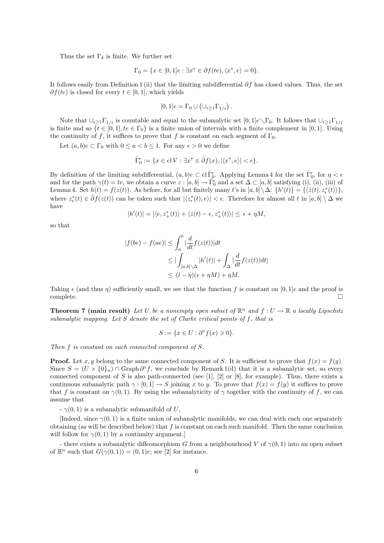Thus the set  $\Gamma_{\delta}$  is finite. We further set

$$
\Gamma_0 = \{ x \in [0, 1]e : \exists x^* \in \partial f(te), \langle x^*, e \rangle = 0 \}.
$$

It follows easily from Definition 1 (ii) that the limiting subdifferential  $\partial f$  has closed values. Thus, the set  $\partial f(te)$  is closed for every  $t \in [0,1]$ , which yields

$$
[0,1]e = \Gamma_0 \cup (\cup_{i \geq 1} \Gamma_{1/i}).
$$

Note that  $\bigcup_{i>1}\Gamma_{1/i}$  is countable and equal to the subanalytic set  $[0,1]e\setminus\Gamma_0$ . It follows that  $\bigcup_{i>1}\Gamma_{1/i}$ is finite and so  $\{t \in [0,1], t e \in \Gamma_0\}$  is a finite union of intervals with a finite complement in [0, 1]. Using the continuity of f, it suffices to prove that f is constant on each segment of  $\Gamma_0$ .

Let  $(a, b)e \subset \Gamma_0$  with  $0 \le a < b \le 1$ . For any  $\epsilon > 0$  we define

$$
\widehat{\Gamma}_0^{\epsilon} := \{ x \in \mathrm{cl}\, V : \exists x^* \in \widehat{\partial} f(x), |\langle x^*, e \rangle| < \epsilon \}.
$$

By definition of the limiting subdifferential,  $(a, b)e \subset \text{cl } \hat{\Gamma}_0^{\epsilon}$ . Applying Lemma 4 for the set  $\hat{\Gamma}_0^{\epsilon}$ , for  $\eta < \epsilon$ and for the path  $\gamma(t) = te$ , we obtain a curve  $z : [a, b] \to \hat{\Gamma}_0^{\epsilon}$  and a set  $\Delta \subset [a, b]$  satisfying (i), (ii), (iii) of Lemma 4. Set  $h(t) = f(z(t))$ . As before, for all but finitely many t's in  $[a, b] \setminus \Delta$ :  $\{h'(t)\} = \{\langle \dot{z}(t), z_{\epsilon}^*(t) \rangle\},\$ where  $z_{\epsilon}^*(t) \in \hat{\partial}f(z(t))$  can be taken such that  $|\langle z_{\epsilon}^*(t), e \rangle| < \epsilon$ . Therefore for almost all t in  $[a, b] \setminus \Delta$  we have

$$
|h'(t)| = |\langle e, z_+^*(t) \rangle + \langle \dot{z}(t) - e, z_+^*(t) \rangle| \le \epsilon + \eta M,
$$

so that

$$
|f(be) - f(ae)| \le \int_a^b |\frac{d}{dt} f(z(t))| dt
$$
  
\n
$$
\le |\int_{[a,b]\setminus\Delta} |h'(t)| + \int_{\Delta} |\frac{d}{dt} f(z(t)) dt|
$$
  
\n
$$
\le (l - \eta)(\epsilon + \eta M) + \eta M.
$$

Taking  $\epsilon$  (and thus  $\eta$ ) sufficiently small, we see that the function f is constant on [0, 1]e and the proof is  $\Box$ complete.  $\Box$ 

**Theorem 7 (main result)** Let U be a nonempty open subset of  $\mathbb{R}^n$  and  $f: U \to \mathbb{R}$  a locally Lipschitz subanalytic mapping. Let S denote the set of Clarke critical points of f, that is

$$
S := \{ x \in U : \partial^{\circ} f(x) \ni 0 \}.
$$

Then f is constant on each connected component of S.

**Proof.** Let x, y belong to the same connected component of S. It is sufficient to prove that  $f(x) = f(y)$ . Since  $S = (U \times \{0\}_n) \cap \text{Graph } \partial^{\circ} f$ , we conclude by Remark 1(d) that it is a subanalytic set, so every connected component of S is also path-connected (see [1], [2] or [8], for example). Thus, there exists a continuous subanalytic path  $\gamma : [0, 1] \to S$  joining x to y. To prove that  $f(x) = f(y)$  it suffices to prove that f is constant on  $\gamma(0,1)$ . By using the subanalyticity of  $\gamma$  together with the continuity of f, we can assume that

 $\gamma(0, 1)$  is a subanalytic submanifold of U,

[Indeed, since  $\gamma(0,1)$  is a finite union of subanalytic manifolds, we can deal with each one separately obtaining (as will be described below) that  $f$  is constant on each such manifold. Then the same conclusion will follow for  $\gamma(0, 1)$  by a continuity argument.]

- there exists a subanalytic diffeomorphism G from a neighbourhood V of  $\gamma(0,1)$  into an open subset of  $\mathbb{R}^n$  such that  $G(\gamma(0,1)) = (0,1)e$ ; see [2] for instance.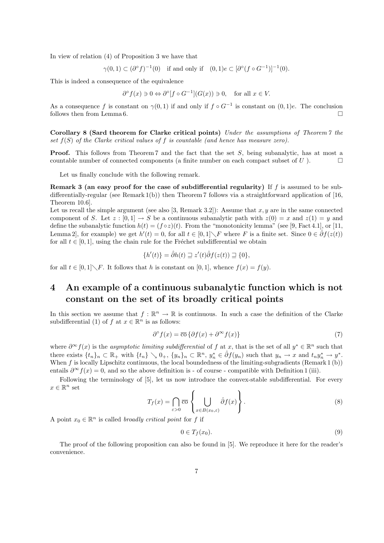In view of relation (4) of Proposition 3 we have that

$$
\gamma(0,1) \subset (\partial^{\circ} f)^{-1}(0) \quad \text{if and only if} \quad (0,1)e \subset [\partial^{\circ} (f \circ G^{-1})]^{-1}(0).
$$

This is indeed a consequence of the equivalence

$$
\partial^{\circ} f(x) \ni 0 \Leftrightarrow \partial^{\circ} [f \circ G^{-1}] (G(x)) \ni 0, \quad \text{for all } x \in V.
$$

As a consequence f is constant on  $\gamma(0,1)$  if and only if  $f \circ G^{-1}$  is constant on  $(0,1)e$ . The conclusion follows then from Lemma 6.  $\Box$ 

Corollary 8 (Sard theorem for Clarke critical points) Under the assumptions of Theorem 7 the set  $f(S)$  of the Clarke critical values of f is countable (and hence has measure zero).

**Proof.** This follows from Theorem 7 and the fact that the set S, being subanalytic, has at most a countable number of connected components (a finite number on each compact subset of  $U$ ).

Let us finally conclude with the following remark.

**Remark 3 (an easy proof for the case of subdifferential regularity)** If  $f$  is assumed to be subdifferentially-regular (see Remark 1(b)) then Theorem 7 follows via a straightforward application of [16, Theorem 10.6].

Let us recall the simple argument (see also [3, Remark 3.2]): Assume that  $x, y$  are in the same connected component of S. Let  $z : [0,1] \to S$  be a continuous subanalytic path with  $z(0) = x$  and  $z(1) = y$  and define the subanalytic function  $h(t) = (f \circ z)(t)$ . From the "monotonicity lemma" (see [9, Fact 4.1], or [11, Lemma 2, for example) we get  $h'(t) = 0$ , for all  $t \in [0, 1] \setminus F$  where F is a finite set. Since  $0 \in \hat{\partial}f(z(t))$ for all  $t \in [0, 1]$ , using the chain rule for the Fréchet subdifferential we obtain

$$
\{h'(t)\} = \hat{\partial}h(t) \sqsupseteq z'(t)\hat{\partial}f(z(t)) \sqsupseteq \{0\},\
$$

for all  $t \in [0,1] \backslash F$ . It follows that h is constant on [0, 1], whence  $f(x) = f(y)$ .

# 4 An example of a continuous subanalytic function which is not constant on the set of its broadly critical points

In this section we assume that  $f : \mathbb{R}^n \to \mathbb{R}$  is continuous. In such a case the definition of the Clarke subdifferential (1) of f at  $x \in \mathbb{R}^n$  is as follows:

$$
\partial^{\circ} f(x) = \overline{\mathrm{co}} \left\{ \partial f(x) + \partial^{\infty} f(x) \right\} \tag{7}
$$

where  $\partial^{\infty} f(x)$  is the asymptotic limiting subdifferential of f at x, that is the set of all  $y^* \in \mathbb{R}^n$  such that there exists  $\{t_n\}_n \subset \mathbb{R}_+$  with  $\{t_n\} \setminus 0_+$ ,  $\{y_n\}_n \subset \mathbb{R}^n$ ,  $y_n^* \in \hat{\partial}f(y_n)$  such that  $y_n \to x$  and  $t_n y_n^* \to y^*$ . When  $f$  is locally Lipschitz continuous, the local boundedness of the limiting-subgradients (Remark 1 (b)) entails  $\partial^{\infty} f(x) = 0$ , and so the above definition is - of course - compatible with Definition 1 (iii).

Following the terminology of [5], let us now introduce the convex-stable subdifferential. For every  $x \in \mathbb{R}^n$  set  $\overline{a}$  $\ddot{\phantom{a}}$ 

$$
T_f(x) = \bigcap_{\varepsilon > 0} \overline{\text{co}} \left\{ \bigcup_{x \in B(x_0, \varepsilon)} \hat{\partial} f(x) \right\}.
$$
 (8)

A point  $x_0 \in \mathbb{R}^n$  is called *broadly critical point* for f if

$$
0 \in T_f(x_0). \tag{9}
$$

The proof of the following proposition can also be found in [5]. We reproduce it here for the reader's convenience.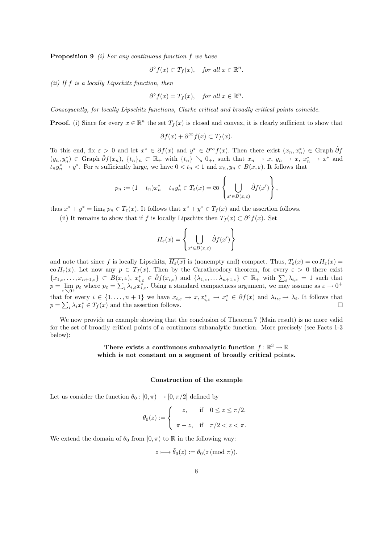**Proposition 9** (i) For any continuous function f we have

$$
\partial^{\circ} f(x) \subset T_f(x), \quad \text{for all } x \in \mathbb{R}^n.
$$

(ii) If  $f$  is a locally Lipschitz function, then

$$
\partial^{\circ} f(x) = T_f(x), \quad \text{for all } x \in \mathbb{R}^n
$$

.

Consequently, for locally Lipschitz functions, Clarke critical and broadly critical points coincide.

**Proof.** (i) Since for every  $x \in \mathbb{R}^n$  the set  $T_f(x)$  is closed and convex, it is clearly sufficient to show that

$$
\partial f(x) + \partial^{\infty} f(x) \subset T_f(x).
$$

To this end, fix  $\varepsilon > 0$  and let  $x^* \in \partial f(x)$  and  $y^* \in \partial^\infty f(x)$ . Then there exist  $(x_n, x_n^*) \in \text{Graph } \hat{\partial} f$  $(y_n, y_n^*) \in \text{Graph } \hat{\partial} f(x_n), \{t_n\}_n \subset \mathbb{R}_+ \text{ with } \{t_n\} \setminus 0_+, \text{ such that } x_n \to x, y_n \to x, x_n^* \to x^* \text{ and }$  $t_n y_n^* \to y^*$ . For n sufficiently large, we have  $0 < t_n < 1$  and  $x_n, y_n \in B(x, \varepsilon)$ . It follows that

$$
p_n := (1 - t_n)x_n^* + t_n y_n^* \in T_{\varepsilon}(x) = \overline{\mathrm{co}}\left\{\bigcup_{x' \in B(x,\varepsilon)} \hat{\partial} f(x')\right\},\,
$$

thus  $x^* + y^* = \lim_n p_n \in T_{\varepsilon}(x)$ . It follows that  $x^* + y^* \in T_f(x)$  and the assertion follows.

(ii) It remains to show that if f is locally Lipschitz then  $T_f(x) \subset \partial^{\circ} f(x)$ . Set

$$
H_{\varepsilon}(x) = \left\{ \bigcup_{x' \in B(x,\varepsilon)} \hat{\partial}f(x') \right\}
$$

and note that since f is locally Lipschitz,  $H_{\varepsilon}(x)$  is (nonempty and) compact. Thus,  $T_{\varepsilon}(x) = \overline{\mathrm{co}} H_{\varepsilon}(x)$ co  $H_{\varepsilon}(x)$ . Let now any  $p \in T_f(x)$ . Then by the Caratheodory theorem, for every  $\varepsilon > 0$  there exist  ${x_1,\ldots,x_{n+1,\varepsilon}} \subset B(x,\varepsilon), x_{i,\varepsilon}^* \in \hat{\partial} f(x_{i,\varepsilon})$  and  $\{\lambda_{1,\varepsilon},\ldots,\lambda_{n+1,\varepsilon}\} \subset \mathbb{R}_+$  with  $\sum_i \lambda_{i,\varepsilon} = 1$  such that  $\{x_1,\varepsilon,\ldots,x_{n+1,\varepsilon}\}\subset B(x,\ p=\lim_{\varepsilon\searrow 0^+}p_\varepsilon$  where  $p_\varepsilon=\sum$  $i \lambda_{i,\varepsilon} x_{i,\varepsilon}^*$ . Using a standard compactness argument, we may assume as  $\varepsilon \to 0^+$ that for every  $i \in \{1, \ldots, n+1\}$  we have  $x_{i,\varepsilon} \to x, x_{i,\varepsilon}^* \to x_i^* \in \partial f(x)$  and  $\lambda_{i,\varepsilon} \to \lambda_i$ . It follows that  $p = \sum_i \lambda_i x_i^* \in T_f(x)$  and the assertion follows.

We now provide an example showing that the conclusion of Theorem 7 (Main result) is no more valid for the set of broadly critical points of a continuous subanalytic function. More precisely (see Facts 1-3 below):

### There exists a continuous subanalytic function  $f : \mathbb{R}^3 \to \mathbb{R}$ which is not constant on a segment of broadly critical points.

#### Construction of the example

Let us consider the function  $\theta_0 : [0, \pi) \to [0, \pi/2]$  defined by

$$
\theta_0(z) := \begin{cases} z, & \text{if } 0 \le z \le \pi/2, \\ \pi - z, & \text{if } \pi/2 < z < \pi. \end{cases}
$$

We extend the domain of  $\theta_0$  from  $[0, \pi)$  to R in the following way:

$$
z \longmapsto \tilde{\theta}_0(z) := \theta_0(z \pmod{\pi}).
$$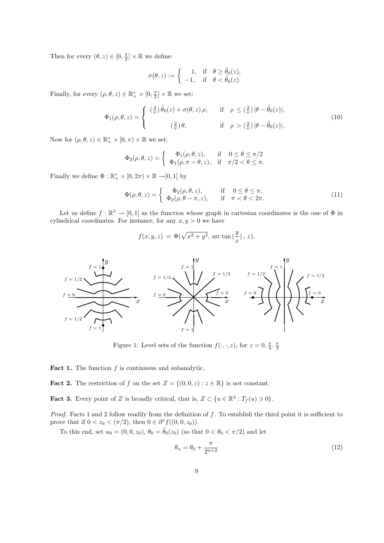Then for every  $(\theta, z) \in [0, \frac{\pi}{2}] \times \mathbb{R}$  we define:

$$
\sigma(\theta, z) := \begin{cases}\n1, & \text{if } \theta \ge \tilde{\theta}_0(z), \\
-1, & \text{if } \theta < \tilde{\theta}_0(z).\n\end{cases}
$$

Finally, for every  $(\rho, \theta, z) \in \mathbb{R}_+^* \times [0, \frac{\pi}{2}] \times \mathbb{R}$  we set:

$$
\Phi_1(\rho,\theta,z) = \begin{cases}\n\left(\frac{2}{\pi}\right)\tilde{\theta}_0(z) + \sigma(\theta,z)\,\rho, & \text{if } \rho \leq \left(\frac{2}{\pi}\right)|\theta - \tilde{\theta}_0(z)|, \\
\left(\frac{2}{\pi}\right)\theta, & \text{if } \rho > \left(\frac{2}{\pi}\right)|\theta - \tilde{\theta}_0(z)|.\n\end{cases}
$$
\n(10)

Now for  $(\rho, \theta, z) \in \mathbb{R}_+^* \times [0, \pi) \times \mathbb{R}$  we set:

$$
\Phi_2(\rho,\theta,z) = \begin{cases} \Phi_1(\rho,\theta,z), & \text{if } 0 \le \theta \le \pi/2 \\ \Phi_1(\rho,\pi-\theta,z), & \text{if } \pi/2 < \theta \le \pi. \end{cases}
$$

Finally we define  $\Phi : \mathbb{R}_+^* \times [0, 2\pi) \times \mathbb{R} \to [0, 1]$  by

$$
\Phi(\rho,\theta,z) = \begin{cases}\n\Phi_2(\rho,\theta,z), & \text{if } 0 \le \theta \le \pi, \\
\Phi_2(\rho,\theta-\pi,z), & \text{if } \pi < \theta < 2\pi.\n\end{cases}
$$
\n(11)

Let us define  $f : \mathbb{R}^3 \to [0,1]$  as the function whose graph in cartesian coordinates is the one of  $\Phi$  in cylindrical coordinates. For instance, for any  $x, y > 0$  we have

$$
f(x, y, z) = \Phi(\sqrt{x^2 + y^2}, \arctan(\frac{y}{x}), z).
$$



Figure 1: Level sets of the function  $f(\cdot, \cdot, z)$ , for  $z = 0, \frac{\pi}{4}, \frac{\pi}{2}$ 

**Fact 1.** The function  $f$  is continuous and subanalytic.

**Fact 2.** The restriction of f on the set  $Z = \{(0,0,z) : z \in \mathbb{R}\}\)$  is not constant.

**Fact 3.** Every point of Z is broadly critical, that is,  $Z \subset \{u \in \mathbb{R}^3 : T_f(u) \ni 0\}.$ 

Proof. Facts 1 and 2 follow readily from the definition of f. To establish the third point it is sufficient to prove that if  $0 < z_0 < (\pi/2)$ , then  $0 \in \partial^{\circ} f((0,0,z_0))$ .

To this end, set  $u_0 = (0, 0, z_0)$ ,  $\theta_0 = \tilde{\theta}_0(z_0)$  (so that  $0 < \theta_0 < \pi/2$ ) and let

$$
\theta_n = \theta_0 + \frac{\pi}{2^{n+2}}\tag{12}
$$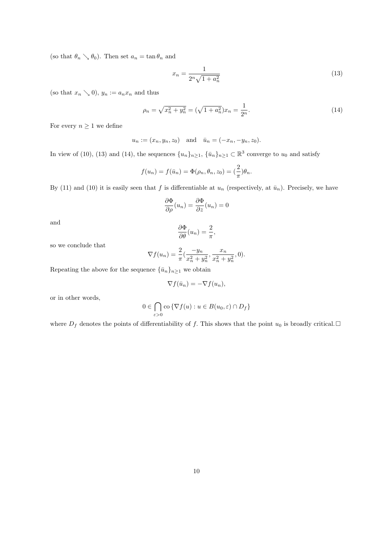(so that  $\theta_n \searrow \theta_0$ ). Then set  $a_n = \tan \theta_n$  and

$$
x_n = \frac{1}{2^n \sqrt{1 + a_n^2}}\tag{13}
$$

(so that  $x_n \searrow 0$ ),  $y_n := a_n x_n$  and thus

$$
\rho_n = \sqrt{x_n^2 + y_n^2} = (\sqrt{1 + a_n^2})x_n = \frac{1}{2^n}.
$$
\n(14)

For every  $n \geq 1$  we define

$$
u_n := (x_n, y_n, z_0)
$$
 and  $\bar{u}_n = (-x_n, -y_n, z_0)$ .

In view of (10), (13) and (14), the sequences  $\{u_n\}_{n\geq 1}$ ,  $\{\bar{u}_n\}_{n\geq 1} \subset \mathbb{R}^3$  converge to  $u_0$  and satisfy

$$
f(u_n) = f(\bar{u}_n) = \Phi(\rho_n, \theta_n, z_0) = \left(\frac{2}{\pi}\right)\theta_n.
$$

By (11) and (10) it is easily seen that f is differentiable at  $u_n$  (respectively, at  $\bar{u}_n$ ). Precisely, we have

$$
\frac{\partial \Phi}{\partial \rho}(u_n) = \frac{\partial \Phi}{\partial z}(u_n) = 0
$$

and

$$
\frac{\partial \Phi}{\partial \theta}(u_n) = \frac{2}{\pi},
$$

so we conclude that

$$
\nabla f(u_n) = \frac{2}{\pi} \left( \frac{-y_n}{x_n^2 + y_n^2}, \frac{x_n}{x_n^2 + y_n^2}, 0 \right).
$$

Repeating the above for the sequence  $\{\bar{u}_n\}_{n\geq 1}$  we obtain

$$
\nabla f(\bar{u}_n) = -\nabla f(u_n),
$$

or in other words,

$$
0 \in \bigcap_{\varepsilon > 0} \text{co}\left\{\nabla f(u) : u \in B(u_0, \varepsilon) \cap D_f\right\}
$$

where  $D_f$  denotes the points of differentiability of f. This shows that the point  $u_0$  is broadly critical.  $\Box$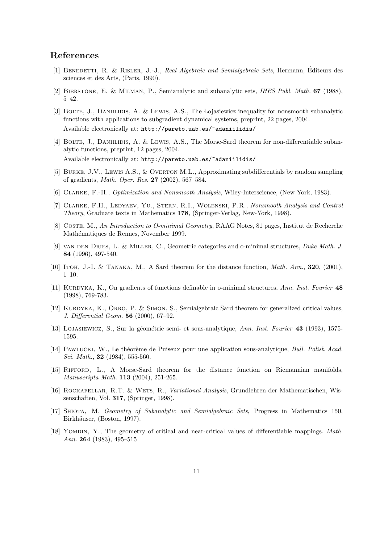## References

- [1] Benedetti, R. & Risler, J.-J., Real Algebraic and Semialgebraic Sets, Hermann, Editeurs des ´ sciences et des Arts, (Paris, 1990).
- [2] Bierstone, E. & Milman, P., Semianalytic and subanalytic sets, IHES Publ. Math. 67 (1988), 5–42.
- [3] BOLTE, J., DANIILIDIS, A. & LEWIS, A.S., The Lojasiewicz inequality for nonsmooth subanalytic functions with applications to subgradient dynamical systems, preprint, 22 pages, 2004. Available electronically at: http://pareto.uab.es/~adaniilidis/
- [4] BOLTE, J., DANIILIDIS, A. & LEWIS, A.S., The Morse-Sard theorem for non-differentiable subanalytic functions, preprint, 12 pages, 2004. Available electronically at: http://pareto.uab.es/~adaniilidis/
- [5] Burke, J.V., Lewis A.S., & Overton M.L., Approximating subdifferentials by random sampling of gradients, Math. Oper. Res. 27 (2002), 567–584.
- [6] Clarke, F.-H., Optimization and Nonsmooth Analysis, Wiley-Interscience, (New York, 1983).
- [7] CLARKE, F.H., LEDYAEV, YU., STERN, R.I., WOLENSKI, P.R., Nonsmooth Analysis and Control Theory, Graduate texts in Mathematics 178, (Springer-Verlag, New-York, 1998).
- [8] Coste, M., An Introduction to O-minimal Geometry, RAAG Notes, 81 pages, Institut de Recherche Mathématiques de Rennes, November 1999.
- [9] van den Dries, L. & Miller, C., Geometric categories and o-minimal structures, Duke Math. J. 84 (1996), 497-540.
- [10] ITOH, J.-I. & TANAKA, M., A Sard theorem for the distance function, *Math. Ann.*, **320**, (2001), 1–10.
- [11] KURDYKA, K., On gradients of functions definable in o-minimal structures, Ann. Inst. Fourier 48 (1998), 769-783.
- [12] KURDYKA, K., ORRO, P. & SIMON, S., Semialgebraic Sard theorem for generalized critical values, J. Differential Geom. 56 (2000), 67–92.
- [13] ŁOJASIEWICZ, S., Sur la géométrie semi- et sous-analytique, Ann. Inst. Fourier 43 (1993), 1575-1595.
- [14] PAWŁUCKI, W., Le théorème de Puiseux pour une application sous-analytique, Bull. Polish Acad. Sci. Math., **32** (1984), 555-560.
- [15] RIFFORD, L., A Morse-Sard theorem for the distance function on Riemannian manifolds, Manuscripta Math. 113 (2004), 251-265.
- [16] ROCKAFELLAR, R.T. & WETS, R., Variational Analysis, Grundlehren der Mathematischen, Wissenschaften, Vol. 317, (Springer, 1998).
- [17] Shiota, M, Geometry of Subanalytic and Semialgebraic Sets, Progress in Mathematics 150, Birkhäuser, (Boston, 1997).
- [18] Yomdin, Y., The geometry of critical and near-critical values of differentiable mappings. Math. Ann. 264 (1983), 495–515